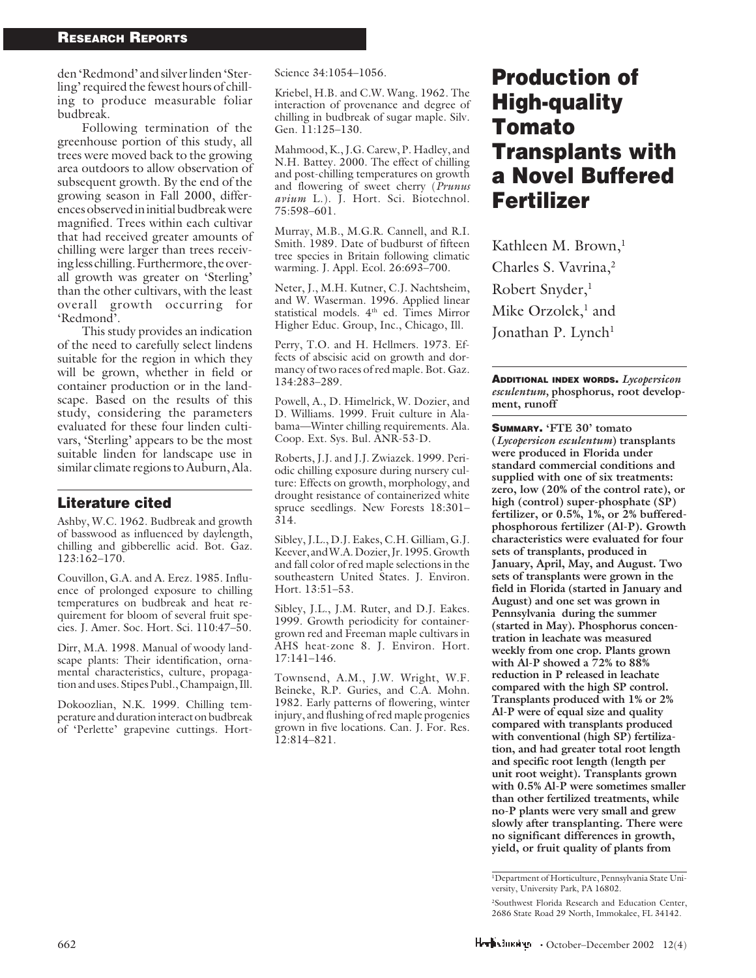den 'Redmond' and silver linden 'Sterling' required the fewest hours of chilling to produce measurable foliar budbreak.

Following termination of the greenhouse portion of this study, all trees were moved back to the growing area outdoors to allow observation of subsequent growth. By the end of the growing season in Fall 2000, differences observed in initial budbreak were magnified. Trees within each cultivar that had received greater amounts of chilling were larger than trees receiving less chilling. Furthermore, the overall growth was greater on 'Sterling' than the other cultivars, with the least overall growth occurring for 'Redmond'.

This study provides an indication of the need to carefully select lindens suitable for the region in which they will be grown, whether in field or container production or in the landscape. Based on the results of this study, considering the parameters evaluated for these four linden cultivars, 'Sterling' appears to be the most suitable linden for landscape use in similar climate regions to Auburn, Ala.

## Literature cited

Ashby, W.C. 1962. Budbreak and growth of basswood as influenced by daylength, chilling and gibberellic acid. Bot. Gaz. 123:162–170.

Couvillon, G.A. and A. Erez. 1985. Influence of prolonged exposure to chilling temperatures on budbreak and heat requirement for bloom of several fruit species. J. Amer. Soc. Hort. Sci. 110:47–50.

Dirr, M.A. 1998. Manual of woody landscape plants: Their identification, ornamental characteristics, culture, propagation and uses. Stipes Publ., Champaign, Ill.

Dokoozlian, N.K. 1999. Chilling temperature and duration interact on budbreak of 'Perlette' grapevine cuttings. HortScience 34:1054–1056.

Kriebel, H.B. and C.W. Wang. 1962. The interaction of provenance and degree of chilling in budbreak of sugar maple. Silv. Gen. 11:125–130.

Mahmood, K., J.G. Carew, P. Hadley, and N.H. Battey. 2000. The effect of chilling and post-chilling temperatures on growth and flowering of sweet cherry (*Prunus avium* L.). J. Hort. Sci. Biotechnol. 75:598–601.

Murray, M.B., M.G.R. Cannell, and R.I. Smith. 1989. Date of budburst of fifteen tree species in Britain following climatic warming. J. Appl. Ecol. 26:693–700.

Neter, J., M.H. Kutner, C.J. Nachtsheim, and W. Waserman. 1996. Applied linear statistical models. 4th ed. Times Mirror Higher Educ. Group, Inc., Chicago, Ill.

Perry, T.O. and H. Hellmers. 1973. Effects of abscisic acid on growth and dormancy of two races of red maple. Bot. Gaz. 134:283–289.

Powell, A., D. Himelrick, W. Dozier, and D. Williams. 1999. Fruit culture in Alabama—Winter chilling requirements. Ala. Coop. Ext. Sys. Bul. ANR-53-D.

Roberts, J.J. and J.J. Zwiazek. 1999. Periodic chilling exposure during nursery culture: Effects on growth, morphology, and drought resistance of containerized white spruce seedlings. New Forests 18:301– 314.

Sibley, J.L., D.J. Eakes, C.H. Gilliam, G.J. Keever, and W.A. Dozier, Jr. 1995. Growth and fall color of red maple selections in the southeastern United States. J. Environ. Hort. 13:51–53.

Sibley, J.L., J.M. Ruter, and D.J. Eakes. 1999. Growth periodicity for containergrown red and Freeman maple cultivars in AHS heat-zone 8. J. Environ. Hort. 17:141–146.

Townsend, A.M., J.W. Wright, W.F. Beineke, R.P. Guries, and C.A. Mohn. 1982. Early patterns of flowering, winter injury, and flushing of red maple progenies grown in five locations. Can. J. For. Res. 12:814–821.

# Production of High-quality Tomato Transplants with a Novel Buffered Fertilizer

Kathleen M. Brown,<sup>1</sup> Charles S. Vavrina,2 Robert Snyder,<sup>1</sup> Mike Orzolek,<sup>1</sup> and Jonathan P. Lynch<sup>1</sup>

ADDITIONAL INDEX WORDS. *Lycopersicon esculentum,* **phosphorus, root development, runoff**

SUMMARY. **'FTE 30' tomato (***Lycopersicon esculentum***) transplants were produced in Florida under standard commercial conditions and supplied with one of six treatments: zero, low (20% of the control rate), or high (control) super-phosphate (SP) fertilizer, or 0.5%, 1%, or 2% bufferedphosphorous fertilizer (Al-P). Growth characteristics were evaluated for four sets of transplants, produced in January, April, May, and August. Two sets of transplants were grown in the field in Florida (started in January and August) and one set was grown in Pennsylvania during the summer (started in May). Phosphorus concentration in leachate was measured weekly from one crop. Plants grown with Al-P showed a 72% to 88% reduction in P released in leachate compared with the high SP control. Transplants produced with 1% or 2% Al-P were of equal size and quality compared with transplants produced with conventional (high SP) fertilization, and had greater total root length and specific root length (length per unit root weight). Transplants grown with 0.5% Al-P were sometimes smaller than other fertilized treatments, while no-P plants were very small and grew slowly after transplanting. There were no significant differences in growth, yield, or fruit quality of plants from**

<sup>1</sup> Department of Horticulture, Pennsylvania State University, University Park, PA 16802.

<sup>2</sup> Southwest Florida Research and Education Center, 2686 State Road 29 North, Immokalee, FL 34142.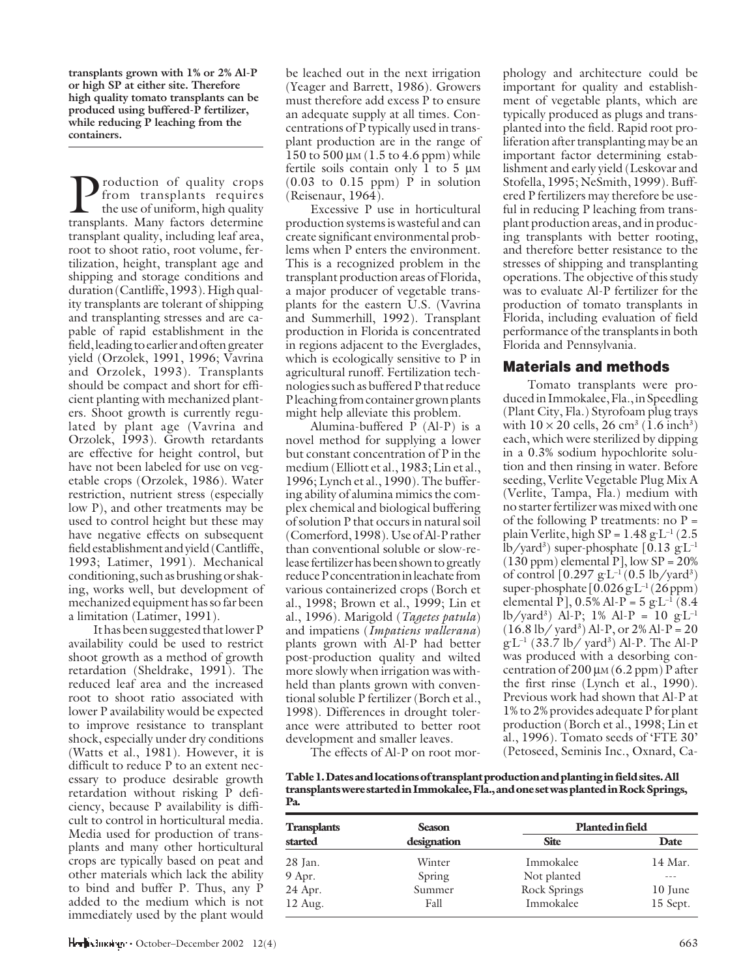**transplants grown with 1% or 2% Al-P or high SP at either site. Therefore high quality tomato transplants can be produced using buffered-P fertilizer, while reducing P leaching from the containers.**

roduction of quality crops from transplants requires the use of uniform, high quality transplants. Many factors determine transplant quality, including leaf area, root to shoot ratio, root volume, fertilization, height, transplant age and shipping and storage conditions and duration (Cantliffe, 1993). High quality transplants are tolerant of shipping and transplanting stresses and are capable of rapid establishment in the field, leading to earlier and often greater yield (Orzolek, 1991, 1996; Vavrina and Orzolek, 1993). Transplants should be compact and short for efficient planting with mechanized planters. Shoot growth is currently regulated by plant age (Vavrina and Orzolek, 1993). Growth retardants are effective for height control, but have not been labeled for use on vegetable crops (Orzolek, 1986). Water restriction, nutrient stress (especially low P), and other treatments may be used to control height but these may have negative effects on subsequent field establishment and yield (Cantliffe, 1993; Latimer, 1991). Mechanical conditioning, such as brushing or shaking, works well, but development of mechanized equipment has so far been a limitation (Latimer, 1991).

It has been suggested that lower P availability could be used to restrict shoot growth as a method of growth retardation (Sheldrake, 1991). The reduced leaf area and the increased root to shoot ratio associated with lower P availability would be expected to improve resistance to transplant shock, especially under dry conditions (Watts et al., 1981). However, it is difficult to reduce P to an extent necessary to produce desirable growth retardation without risking P deficiency, because P availability is difficult to control in horticultural media. Media used for production of transplants and many other horticultural crops are typically based on peat and other materials which lack the ability to bind and buffer P. Thus, any P added to the medium which is not immediately used by the plant would

be leached out in the next irrigation (Yeager and Barrett, 1986). Growers must therefore add excess P to ensure an adequate supply at all times. Concentrations of P typically used in transplant production are in the range of 150 to 500  $\mu$ M (1.5 to 4.6 ppm) while fertile soils contain only 1 to 5 µ<sup>M</sup> (0.03 to 0.15 ppm) P in solution (Reisenaur, 1964).

Excessive P use in horticultural production systems is wasteful and can create significant environmental problems when P enters the environment. This is a recognized problem in the transplant production areas of Florida, a major producer of vegetable transplants for the eastern U.S. (Vavrina and Summerhill, 1992). Transplant production in Florida is concentrated in regions adjacent to the Everglades, which is ecologically sensitive to P in agricultural runoff. Fertilization technologies such as buffered P that reduce P leaching from container grown plants might help alleviate this problem.

Alumina-buffered P (Al-P) is a novel method for supplying a lower but constant concentration of P in the medium (Elliott et al., 1983; Lin et al., 1996; Lynch et al., 1990). The buffering ability of alumina mimics the complex chemical and biological buffering of solution P that occurs in natural soil (Comerford, 1998). Use of Al-P rather than conventional soluble or slow-release fertilizer has been shown to greatly reduce P concentration in leachate from various containerized crops (Borch et al., 1998; Brown et al., 1999; Lin et al., 1996). Marigold (*Tagetes patula*) and impatiens (*Impatiens wallerana*) plants grown with Al-P had better post-production quality and wilted more slowly when irrigation was withheld than plants grown with conventional soluble P fertilizer (Borch et al., 1998). Differences in drought tolerance were attributed to better root development and smaller leaves.

The effects of Al-P on root mor-

phology and architecture could be important for quality and establishment of vegetable plants, which are typically produced as plugs and transplanted into the field. Rapid root proliferation after transplanting may be an important factor determining establishment and early yield (Leskovar and Stofella, 1995; NeSmith, 1999). Buffered P fertilizers may therefore be useful in reducing P leaching from transplant production areas, and in producing transplants with better rooting, and therefore better resistance to the stresses of shipping and transplanting operations. The objective of this study was to evaluate Al-P fertilizer for the production of tomato transplants in Florida, including evaluation of field performance of the transplants in both Florida and Pennsylvania.

# Materials and methods

Tomato transplants were produced in Immokalee, Fla., in Speedling (Plant City, Fla.) Styrofoam plug trays with  $10 \times 20$  cells,  $26 \text{ cm}^3 \ (1.6 \text{ inch}^3)$ each, which were sterilized by dipping in a 0.3% sodium hypochlorite solution and then rinsing in water. Before seeding, Verlite Vegetable Plug Mix A (Verlite, Tampa, Fla.) medium with no starter fertilizer was mixed with one of the following P treatments: no  $P =$ plain Verlite, high SP = 1.48 g**.** L–1 (2.5 lb/yard3 ) super-phosphate [0.13 g**.** L–1  $(130$  ppm) elemental P], low SP =  $20\%$ of control [0.297 g**.** L–1 (0.5 lb/yard3 ) super-phosphate [0.026 g**.** L–1 (26 ppm) elemental P], 0.5% Al-P = 5 g**.** L–1 (8.4 lb/yard3 ) Al-P; 1% Al-P = 10 g**.** L–1  $(16.8 \text{ lb} / \text{ yard}^3)$  Al-P, or 2% Al-P = 20 g**.** L–1 (33.7 lb/ yard3 ) Al-P. The Al-P was produced with a desorbing concentration of  $200 \mu$ M (6.2 ppm) P after the first rinse (Lynch et al., 1990). Previous work had shown that Al-P at 1% to 2% provides adequate P for plant production (Borch et al., 1998; Lin et al., 1996). Tomato seeds of 'FTE 30' (Petoseed, Seminis Inc., Oxnard, Ca-

**Table 1. Dates and locations of transplant production and planting in field sites. All transplants were started in Immokalee, Fla., and one set was planted in Rock Springs, Pa.**

| <b>Transplants</b> | <b>Season</b> | Planted in field |             |  |
|--------------------|---------------|------------------|-------------|--|
| started            | designation   | <b>Site</b>      | <b>Date</b> |  |
| 28 Jan.            | Winter        | Immokalee        | 14 Mar.     |  |
| 9 Apr.             | Spring        | Not planted      |             |  |
| 24 Apr.            | Summer        | Rock Springs     | 10 June     |  |
| $12 \text{ Aug.}$  | Fall          | Immokalee        | 15 Sept.    |  |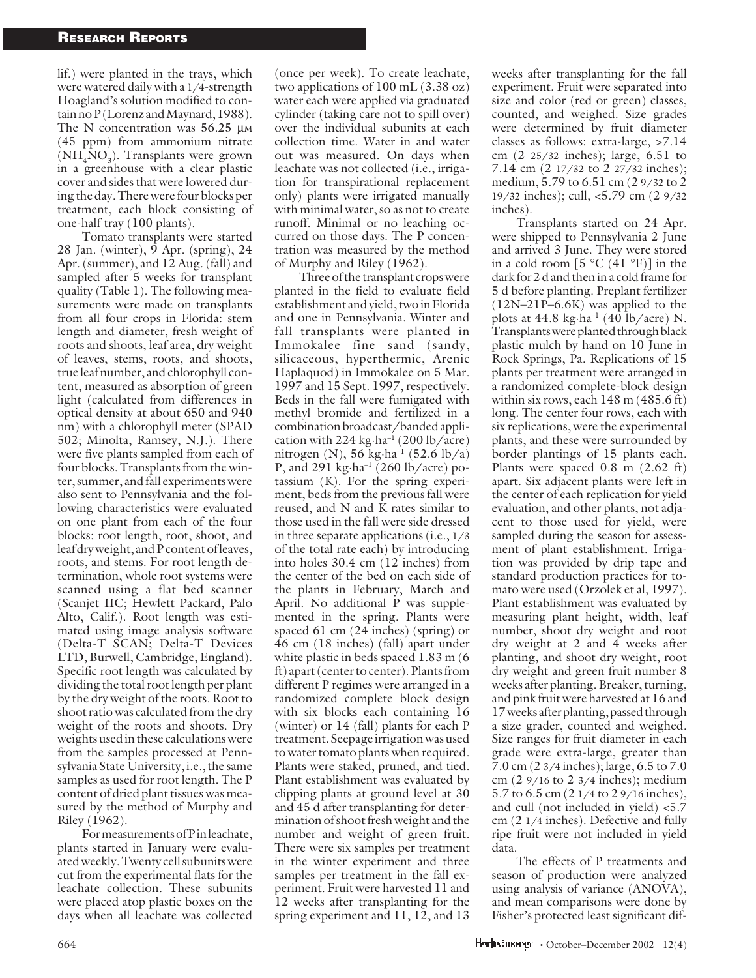lif.) were planted in the trays, which were watered daily with a 1/4-strength Hoagland's solution modified to contain no P (Lorenz and Maynard, 1988). The N concentration was 56.25  $\mu$ M (45 ppm) from ammonium nitrate (NH<sub>4</sub>NO<sub>3</sub>). Transplants were grown in a greenhouse with a clear plastic cover and sides that were lowered during the day. There were four blocks per treatment, each block consisting of one-half tray (100 plants).

Tomato transplants were started 28 Jan. (winter),  $\overline{9}$  Apr. (spring), 24 Apr. (summer), and 12 Aug. (fall) and sampled after 5 weeks for transplant quality (Table 1). The following measurements were made on transplants from all four crops in Florida: stem length and diameter, fresh weight of roots and shoots, leaf area, dry weight of leaves, stems, roots, and shoots, true leaf number, and chlorophyll content, measured as absorption of green light (calculated from differences in optical density at about 650 and 940 nm) with a chlorophyll meter (SPAD 502; Minolta, Ramsey, N.J.). There were five plants sampled from each of four blocks. Transplants from the winter, summer, and fall experiments were also sent to Pennsylvania and the following characteristics were evaluated on one plant from each of the four blocks: root length, root, shoot, and leaf dry weight, and P content of leaves, roots, and stems. For root length determination, whole root systems were scanned using a flat bed scanner (Scanjet IIC; Hewlett Packard, Palo Alto, Calif.). Root length was estimated using image analysis software (Delta-T SCAN; Delta-T Devices LTD, Burwell, Cambridge, England). Specific root length was calculated by dividing the total root length per plant by the dry weight of the roots. Root to shoot ratio was calculated from the dry weight of the roots and shoots. Dry weights used in these calculations were from the samples processed at Pennsylvania State University, i.e., the same samples as used for root length. The P content of dried plant tissues was measured by the method of Murphy and Riley (1962).

For measurements of P in leachate, plants started in January were evaluated weekly. Twenty cell subunits were cut from the experimental flats for the leachate collection. These subunits were placed atop plastic boxes on the days when all leachate was collected (once per week). To create leachate, two applications of 100 mL (3.38 oz) water each were applied via graduated cylinder (taking care not to spill over) over the individual subunits at each collection time. Water in and water out was measured. On days when leachate was not collected (i.e., irrigation for transpirational replacement only) plants were irrigated manually with minimal water, so as not to create runoff. Minimal or no leaching occurred on those days. The P concentration was measured by the method of Murphy and Riley (1962).

Three of the transplant crops were planted in the field to evaluate field establishment and yield, two in Florida and one in Pennsylvania. Winter and fall transplants were planted in Immokalee fine sand (sandy, silicaceous, hyperthermic, Arenic Haplaquod) in Immokalee on 5 Mar. 1997 and 15 Sept. 1997, respectively. Beds in the fall were fumigated with methyl bromide and fertilized in a combination broadcast/banded application with  $224$  kg·ha<sup>-1</sup> (200 lb/acre) nitrogen (N), 56 kg·ha<sup>-1</sup> (52.6 lb/a) P, and 291 kg $\cdot$ ha<sup>-1</sup> (260 lb/acre) potassium (K). For the spring experiment, beds from the previous fall were reused, and N and K rates similar to those used in the fall were side dressed in three separate applications (i.e., 1/3 of the total rate each) by introducing into holes 30.4 cm (12 inches) from the center of the bed on each side of the plants in February, March and April. No additional P was supplemented in the spring. Plants were spaced 61 cm  $(24 \text{ inches})$  (spring) or 46 cm (18 inches) (fall) apart under white plastic in beds spaced 1.83 m (6) ft) apart (center to center). Plants from different P regimes were arranged in a randomized complete block design with six blocks each containing 16 (winter) or 14 (fall) plants for each P treatment. Seepage irrigation was used to water tomato plants when required. Plants were staked, pruned, and tied. Plant establishment was evaluated by clipping plants at ground level at 30 and 45 d after transplanting for determination of shoot fresh weight and the number and weight of green fruit. There were six samples per treatment in the winter experiment and three samples per treatment in the fall experiment. Fruit were harvested 11 and 12 weeks after transplanting for the spring experiment and 11, 12, and 13

weeks after transplanting for the fall experiment. Fruit were separated into size and color (red or green) classes, counted, and weighed. Size grades were determined by fruit diameter classes as follows: extra-large, >7.14 cm (2 25/32 inches); large, 6.51 to 7.14 cm (2 17/32 to 2 27/32 inches); medium, 5.79 to 6.51 cm (2 9/32 to 2 19/32 inches); cull, <5.79 cm (2 9/32 inches).

Transplants started on 24 Apr. were shipped to Pennsylvania 2 June and arrived 3 June. They were stored in a cold room  $[5 °C (41 °F)]$  in the dark for 2 d and then in a cold frame for 5 d before planting. Preplant fertilizer (12N–21P–6.6K) was applied to the plots at  $44.8 \text{ kg} \cdot \text{ha}^{-1}$  ( $40 \text{ lb/acre}$ ) N. Transplants were planted through black plastic mulch by hand on 10 June in Rock Springs, Pa. Replications of 15 plants per treatment were arranged in a randomized complete-block design within six rows, each 148 m (485.6 ft) long. The center four rows, each with six replications, were the experimental plants, and these were surrounded by border plantings of 15 plants each. Plants were spaced 0.8 m (2.62 ft) apart. Six adjacent plants were left in the center of each replication for yield evaluation, and other plants, not adjacent to those used for yield, were sampled during the season for assessment of plant establishment. Irrigation was provided by drip tape and standard production practices for tomato were used (Orzolek et al, 1997). Plant establishment was evaluated by measuring plant height, width, leaf number, shoot dry weight and root dry weight at 2 and 4 weeks after planting, and shoot dry weight, root dry weight and green fruit number 8 weeks after planting. Breaker, turning, and pink fruit were harvested at 16 and 17 weeks after planting, passed through a size grader, counted and weighed. Size ranges for fruit diameter in each grade were extra-large, greater than 7.0 cm (2 3/4 inches); large, 6.5 to 7.0 cm (2 9/16 to 2 3/4 inches); medium 5.7 to 6.5 cm (2 1/4 to 2 9/16 inches), and cull (not included in yield) <5.7 cm (2 1/4 inches). Defective and fully ripe fruit were not included in yield data.

The effects of P treatments and season of production were analyzed using analysis of variance (ANOVA), and mean comparisons were done by Fisher's protected least significant dif-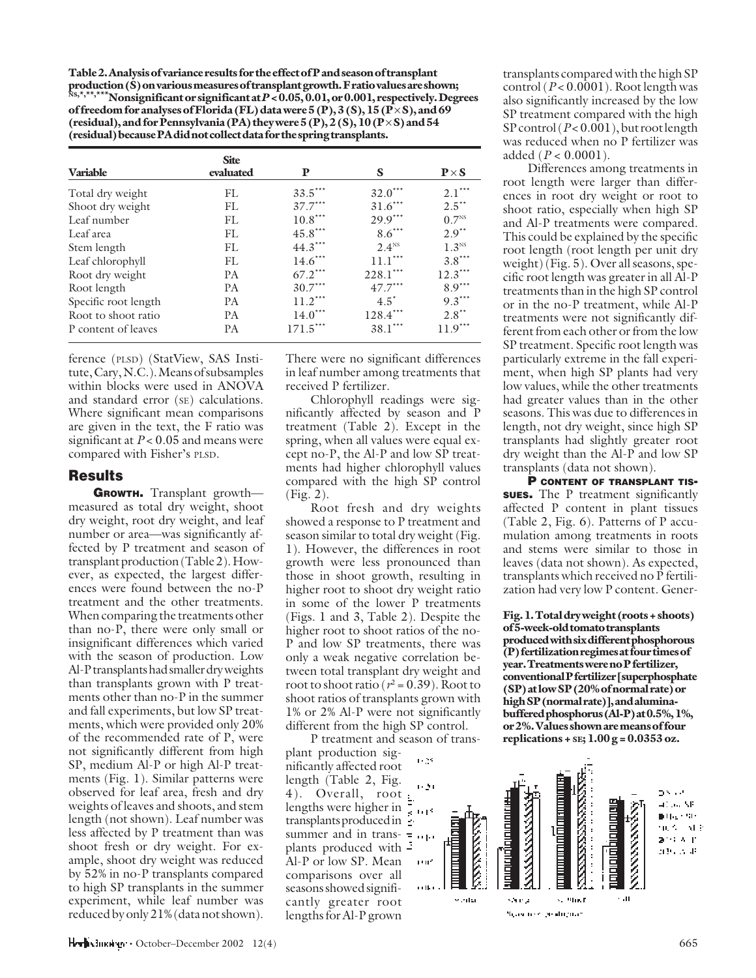**Table 2. Analysis of variance results for the effect of P and season of transplant production (S) on various measures of transplant growth. F ratio values are shown; NS,\*,\*\*,\*\*\*Nonsignificant or significant at** *P* **< 0.05, 0.01, or 0.001, respectively. Degrees of freedom for analyses of Florida (FL) data were 5 (P), 3 (S), 15 (P** $\times$ **S), and 69** (residual), and for Pennsylvania (PA) they were 5 (P), 2 (S), 10 (P × S) and 54 **(residual) because PA did not collect data for the spring transplants.**

| <b>Variable</b>      | <b>Site</b><br>evaluated | P          | S                 | $P \times S$        |
|----------------------|--------------------------|------------|-------------------|---------------------|
| Total dry weight     | FL                       | $33.5***$  | $32.0***$         | $2.1***$            |
| Shoot dry weight     | FL                       | $37.7***$  | $31.6***$         | $2.5$ <sup>**</sup> |
| Leaf number          | FL                       | $10.8***$  | $29.9***$         | $0.7^{NS}$          |
| Leaf area            | FL                       | $45.8***$  | $8.6***$          | $2.9**$             |
| Stem length          | FL                       | $44.3***$  | 2.4 <sup>NS</sup> | 1.3 <sup>NS</sup>   |
| Leaf chlorophyll     | FL                       | $14.6***$  | $11.1***$         | $3.8***$            |
| Root dry weight      | <b>PA</b>                | $67.2***$  | 228.1***          | $12.3***$           |
| Root length          | <b>PA</b>                | $30.7***$  | $47.7***$         | $8.9***$            |
| Specific root length | <b>PA</b>                | $11.2***$  | $4.5^*$           | $9.3***$            |
| Root to shoot ratio  | <b>PA</b>                | $14.0***$  | $128.4***$        | $2.8***$            |
| P content of leaves  | <b>PA</b>                | $171.5***$ | $38.1***$         | $11.9***$           |

ference (PLSD) (StatView, SAS Institute, Cary, N.C.). Means of subsamples within blocks were used in ANOVA and standard error (SE) calculations. Where significant mean comparisons are given in the text, the F ratio was significant at *P* < 0.05 and means were compared with Fisher's PLSD.

# Results

GROWTH. Transplant growthmeasured as total dry weight, shoot dry weight, root dry weight, and leaf number or area—was significantly affected by P treatment and season of transplant production (Table 2). However, as expected, the largest differences were found between the no-P treatment and the other treatments. When comparing the treatments other than no-P, there were only small or insignificant differences which varied with the season of production. Low Al-P transplants had smaller dry weights than transplants grown with P treatments other than no-P in the summer and fall experiments, but low SP treatments, which were provided only 20% of the recommended rate of P, were not significantly different from high SP, medium Al-P or high Al-P treatments (Fig. 1). Similar patterns were observed for leaf area, fresh and dry weights of leaves and shoots, and stem length (not shown). Leaf number was less affected by P treatment than was shoot fresh or dry weight. For example, shoot dry weight was reduced by 52% in no-P transplants compared to high SP transplants in the summer experiment, while leaf number was reduced by only 21% (data not shown).

There were no significant differences in leaf number among treatments that received P fertilizer.

Chlorophyll readings were significantly affected by season and P treatment (Table 2). Except in the spring, when all values were equal except no-P, the Al-P and low SP treatments had higher chlorophyll values compared with the high SP control (Fig. 2).

Root fresh and dry weights showed a response to P treatment and season similar to total dry weight (Fig. 1). However, the differences in root growth were less pronounced than those in shoot growth, resulting in higher root to shoot dry weight ratio in some of the lower P treatments (Figs. 1 and 3, Table 2). Despite the higher root to shoot ratios of the no-P and low SP treatments, there was only a weak negative correlation between total transplant dry weight and root to shoot ratio ( $r^2$  = 0.39). Root to shoot ratios of transplants grown with 1% or 2% Al-P were not significantly different from the high SP control.

P treatment and season of trans-

plant production significantly affected root length (Table 2, Fig. 4). Overall, root  $\frac{1}{2}$ lengths were higher in  $\frac{1}{8}$  to  $18$ transplants produced in  $\frac{1}{2}$ summer and in trans- = plants produced with  $\ddot{=}$ Al-P or low SP. Mean comparisons over all seasons showed significantly greater root lengths for Al-P grown

transplants compared with the high SP control (*P* < 0.0001). Root length was also significantly increased by the low SP treatment compared with the high SP control (*P* < 0.001), but root length was reduced when no P fertilizer was added (*P* < 0.0001).

Differences among treatments in root length were larger than differences in root dry weight or root to shoot ratio, especially when high SP and Al-P treatments were compared. This could be explained by the specific root length (root length per unit dry weight) (Fig. 5). Over all seasons, specific root length was greater in all Al-P treatments than in the high SP control or in the no-P treatment, while Al-P treatments were not significantly different from each other or from the low SP treatment. Specific root length was particularly extreme in the fall experiment, when high SP plants had very low values, while the other treatments had greater values than in the other seasons. This was due to differences in length, not dry weight, since high SP transplants had slightly greater root dry weight than the Al-P and low SP transplants (data not shown).

P CONTENT OF TRANSPLANT TIS**sues.** The P treatment significantly affected P content in plant tissues (Table 2, Fig. 6). Patterns of P accumulation among treatments in roots and stems were similar to those in leaves (data not shown). As expected, transplants which received no  $\bar{P}$  fertilization had very low P content. Gener-

**Fig. 1. Total dry weight (roots + shoots) of 5-week-old tomato transplants produced with six different phosphorous (P) fertilization regimes at four times of year. Treatments were no P fertilizer, conventional P fertilizer [superphosphate (SP) at low SP (20% of normal rate) or high SP (normal rate)], and aluminabuffered phosphorus (Al-P) at 0.5%, 1%, or 2%. Values shown are means of four replications + SE; 1.00 g = 0.0353 oz.**

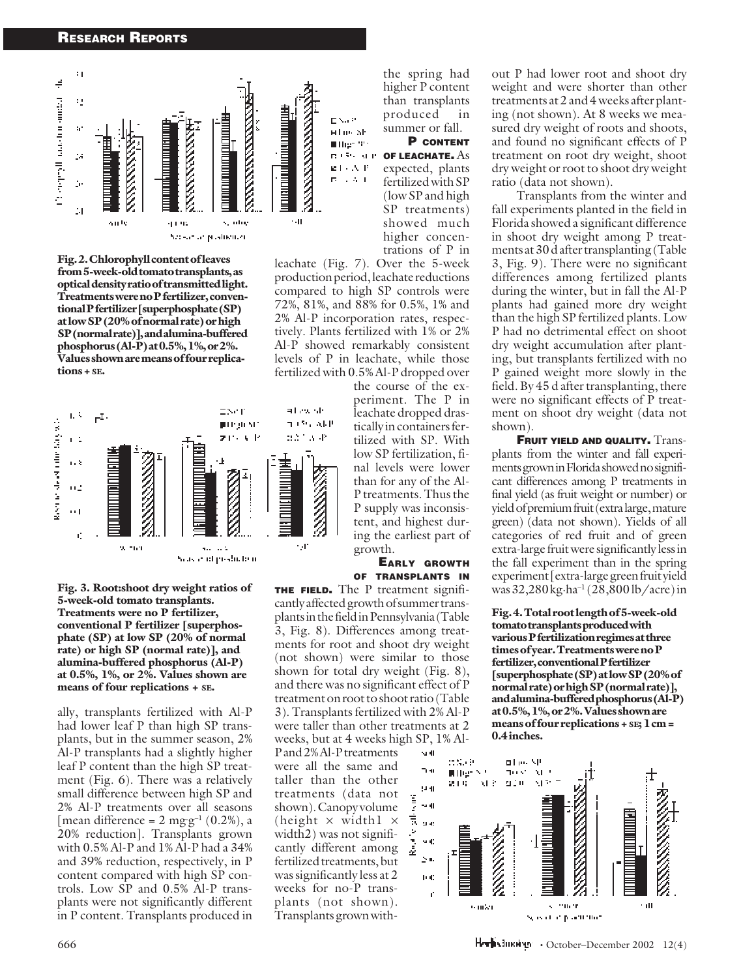#### RESEARCH REPORTS



**Fig. 2. Chlorophyll content of leaves from 5-week-old tomato transplants, as optical density ratio of transmitted light. Treatments were no P fertilizer, conventional P fertilizer [superphosphate (SP) at low SP (20% of normal rate) or high SP (normal rate)], and alumina-buffered phosphorus (Al-P) at 0.5%, 1%, or 2%. Values shown are means of four replications + SE.**



**Fig. 3. Root:shoot dry weight ratios of 5-week-old tomato transplants. Treatments were no P fertilizer, conventional P fertilizer [superphosphate (SP) at low SP (20% of normal rate) or high SP (normal rate)], and alumina-buffered phosphorus (Al-P) at 0.5%, 1%, or 2%. Values shown are means of four replications + SE.**

ally, transplants fertilized with Al-P had lower leaf P than high SP transplants, but in the summer season, 2% Al-P transplants had a slightly higher leaf P content than the high SP treatment (Fig. 6). There was a relatively small difference between high SP and 2% Al-P treatments over all seasons [mean difference =  $2 \text{ mgg}^{-1} (0.2\%)$ , a 20% reduction]. Transplants grown with 0.5% Al-P and 1% Al-P had a 34% and 39% reduction, respectively, in P content compared with high SP controls. Low SP and 0.5% Al-P transplants were not significantly different in P content. Transplants produced in the spring had higher P content than transplants produced in summer or fall.

P CONTENT OF LEACHATE. As expected, plants fertilized with SP (low SP and high SP treatments) showed much higher concentrations of P in

leachate (Fig. 7). Over the 5-week production period, leachate reductions compared to high SP controls were 72%, 81%, and 88% for 0.5%, 1% and 2% Al-P incorporation rates, respectively. Plants fertilized with 1% or 2% Al-P showed remarkably consistent levels of P in leachate, while those fertilized with 0.5% Al-P dropped over

> the course of the experiment. The P in leachate dropped drastically in containers fertilized with SP. With low SP fertilization, final levels were lower than for any of the Al-P treatments. Thus the P supply was inconsistent, and highest during the earliest part of growth.

EARLY GROWTH OF TRANSPLANTS IN

**THE FIELD.** The P treatment significantly affected growth of summer transplants in the field in Pennsylvania (Table 3, Fig. 8). Differences among treatments for root and shoot dry weight (not shown) were similar to those shown for total dry weight (Fig. 8), and there was no significant effect of P treatment on root to shoot ratio (Table 3). Transplants fertilized with 2% Al-P were taller than other treatments at 2 weeks, but at 4 weeks high SP, 1% Al-

P and 2% Al-P treatments were all the same and taller than the other treatments (data not shown). Canopy volume (height  $\times$  width  $\times$ width2) was not significantly different among fertilized treatments, but was significantly less at 2 weeks for no-P transplants (not shown). Transplants grown without P had lower root and shoot dry weight and were shorter than other treatments at 2 and 4 weeks after planting (not shown). At 8 weeks we measured dry weight of roots and shoots, and found no significant effects of P treatment on root dry weight, shoot dry weight or root to shoot dry weight ratio (data not shown).

Transplants from the winter and fall experiments planted in the field in Florida showed a significant difference in shoot dry weight among P treatments at 30 d after transplanting (Table 3, Fig. 9). There were no significant differences among fertilized plants during the winter, but in fall the Al-P plants had gained more dry weight than the high SP fertilized plants. Low P had no detrimental effect on shoot dry weight accumulation after planting, but transplants fertilized with no P gained weight more slowly in the field. By 45 d after transplanting, there were no significant effects of P treatment on shoot dry weight (data not shown).

**FRUIT YIELD AND QUALITY.** Transplants from the winter and fall experiments grown in Florida showed no significant differences among P treatments in final yield (as fruit weight or number) or yield of premium fruit (extra large, mature green) (data not shown). Yields of all categories of red fruit and of green extra-large fruit were significantly less in the fall experiment than in the spring experiment [extra-large green fruit yield was 32,280 kg·ha–1 (28,800 lb/acre) in

**Fig. 4. Total root length of 5-week-old tomato transplants produced with various P fertilization regimes at three times of year. Treatments were no P fertilizer, conventional P fertilizer [superphosphate (SP) at low SP (20% of normal rate) or high SP (normal rate)], and alumina-buffered phosphorus (Al-P) at 0.5%, 1%, or 2%. Values shown are means of four replications + SE; 1 cm = 0.4 inches.**



 $\mathsf{H}\text{-}\mathsf{H}$  - October–December 2002 12(4)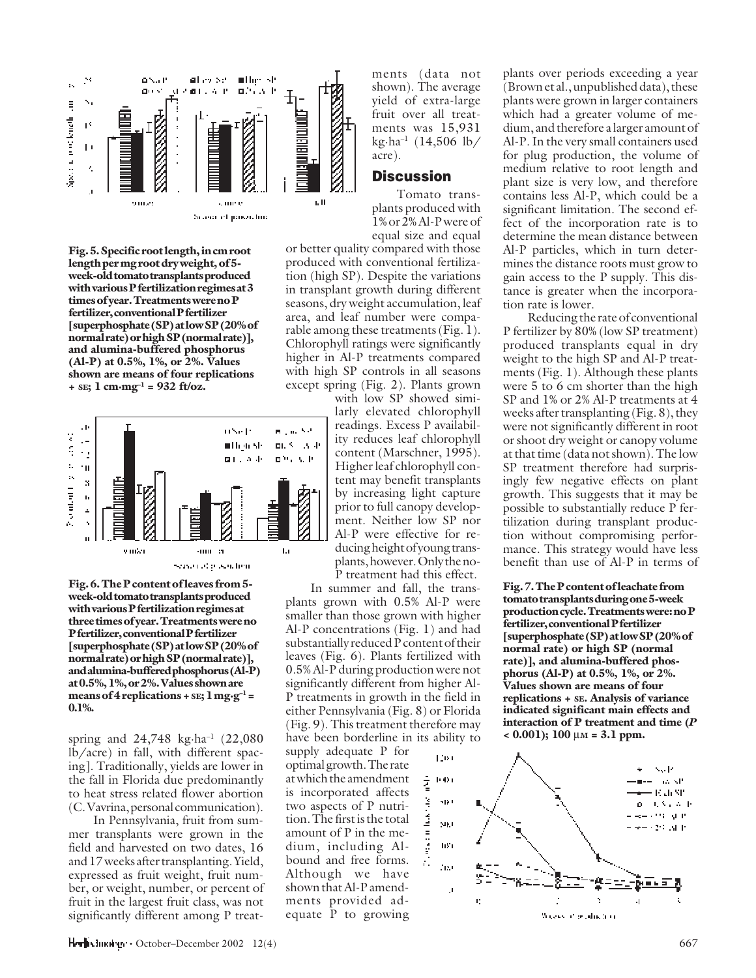

**Fig. 5. Specific root length, in cm root length per mg root dry weight, of 5 week-old tomato transplants produced with various P fertilization regimes at 3 times of year. Treatments were no P fertilizer, conventional P fertilizer [superphosphate (SP) at low SP (20% of normal rate) or high SP (normal rate)], and alumina-buffered phosphorus (Al-P) at 0.5%, 1%, or 2%. Values shown are means of four replications** + s $E$ ; 1 cm·mg<sup>-1</sup> = 932 ft/oz.



**Fig. 6. The P content of leaves from 5 week-old tomato transplants produced with various P fertilization regimes at three times of year. Treatments were no P fertilizer, conventional P fertilizer [superphosphate (SP) at low SP (20% of normal rate) or high SP (normal rate)], and alumina-buffered phosphorus (Al-P) at 0.5%, 1%, or 2%. Values shown are means of 4 replications + SE; 1 mg·g–1 = 0.1%.**

spring and  $24,748$  kg $\cdot$ ha<sup>-1</sup> (22,080 lb/acre) in fall, with different spacing]. Traditionally, yields are lower in the fall in Florida due predominantly to heat stress related flower abortion (C. Vavrina, personal communication).

In Pennsylvania, fruit from summer transplants were grown in the field and harvested on two dates, 16 and 17 weeks after transplanting. Yield, expressed as fruit weight, fruit number, or weight, number, or percent of fruit in the largest fruit class, was not significantly different among P treat-

ments (data not shown). The average yield of extra-large fruit over all treatments was 15,931 kg·ha–1 (14,506 lb/ acre).

## **Discussion**

Tomato transplants produced with 1% or 2% Al-P were of equal size and equal

or better quality compared with those produced with conventional fertilization (high SP). Despite the variations in transplant growth during different seasons, dry weight accumulation, leaf area, and leaf number were comparable among these treatments (Fig. 1). Chlorophyll ratings were significantly higher in Al-P treatments compared with high SP controls in all seasons except spring (Fig. 2). Plants grown

with low SP showed similarly elevated chlorophyll readings. Excess P availability reduces leaf chlorophyll content (Marschner, 1995). Higher leaf chlorophyll content may benefit transplants by increasing light capture prior to full canopy development. Neither low SP nor Al-P were effective for reducing height of young transplants, however. Only the no-P treatment had this effect.

In summer and fall, the transplants grown with 0.5% Al-P were smaller than those grown with higher Al-P concentrations (Fig. 1) and had substantially reduced P content of their leaves (Fig. 6). Plants fertilized with 0.5% Al-P during production were not significantly different from higher Al-P treatments in growth in the field in either Pennsylvania (Fig. 8) or Florida (Fig. 9). This treatment therefore may have been borderline in its ability to

supply adequate P for optimal growth. The rate at which the amendment is incorporated affects two aspects of P nutrition. The first is the total amount of P in the medium, including Albound and free forms. Although we have shown that Al-P amendments provided adequate P to growing plants over periods exceeding a year (Brown et al., unpublished data), these plants were grown in larger containers which had a greater volume of medium, and therefore a larger amount of Al-P. In the very small containers used for plug production, the volume of medium relative to root length and plant size is very low, and therefore contains less Al-P, which could be a significant limitation. The second effect of the incorporation rate is to determine the mean distance between Al-P particles, which in turn determines the distance roots must grow to gain access to the P supply. This distance is greater when the incorporation rate is lower.

Reducing the rate of conventional P fertilizer by 80% (low SP treatment) produced transplants equal in dry weight to the high SP and Al-P treatments (Fig. 1). Although these plants were 5 to 6 cm shorter than the high SP and 1% or 2% Al-P treatments at 4 weeks after transplanting (Fig. 8), they were not significantly different in root or shoot dry weight or canopy volume at that time (data not shown). The low SP treatment therefore had surprisingly few negative effects on plant growth. This suggests that it may be possible to substantially reduce P fertilization during transplant production without compromising performance. This strategy would have less benefit than use of Al-P in terms of

**Fig. 7. The P content of leachate from tomato transplants during one 5-week production cycle. Treatments were: no P fertilizer, conventional P fertilizer [superphosphate (SP) at low SP (20% of normal rate) or high SP (normal rate)], and alumina-buffered phosphorus (Al-P) at 0.5%, 1%, or 2%. Values shown are means of four replications + SE. Analysis of variance indicated significant main effects and interaction of P treatment and time (***P* **< 0.001); 100** µ**M = 3.1 ppm.**

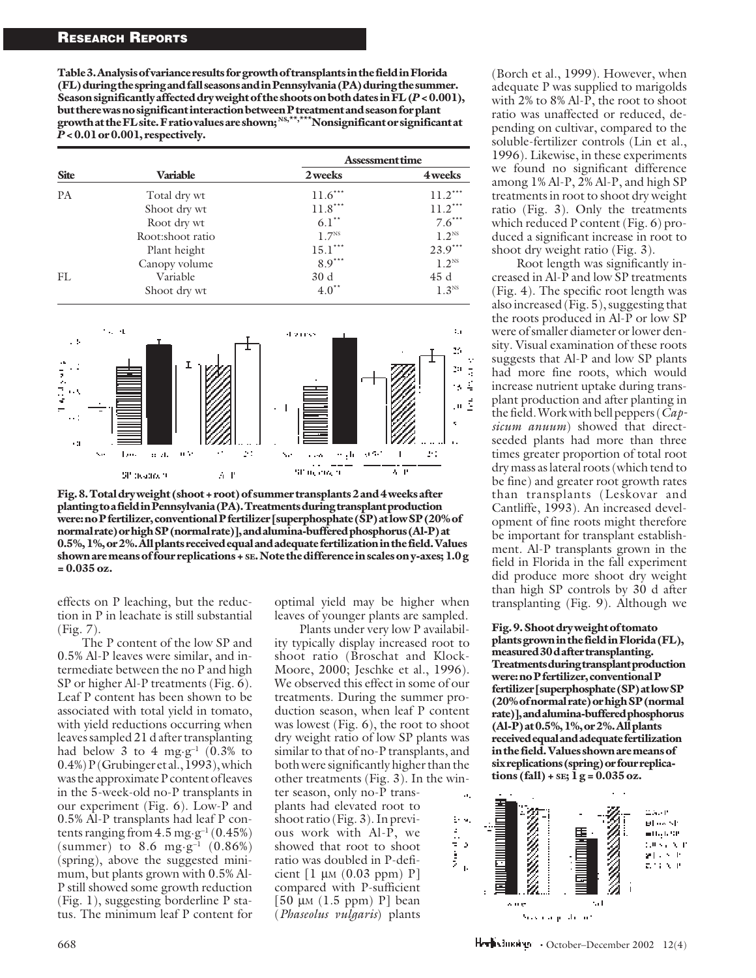**Table 3. Analysis of variance results for growth of transplants in the field in Florida (FL) during the spring and fall seasons and in Pennsylvania (PA) during the summer. Season significantly affected dry weight of the shoots on both dates in FL (***P* **< 0.001), but there was no significant interaction between P treatment and season for plant growth at the FL site. F ratio values are shown; NS,\*\*,\*\*\*Nonsignificant or significant at** *P* **< 0.01 or 0.001, respectively.**

| <b>Site</b> | Variable         | <b>Assessment time</b> |                   |  |
|-------------|------------------|------------------------|-------------------|--|
|             |                  | 2 weeks                | 4 weeks           |  |
| <b>PA</b>   | Total dry wt     | $11.6***$              | $11.2***$         |  |
|             | Shoot dry wt     | $11.8***$              | $11.2***$         |  |
|             | Root dry wt      | $6.1**$                | $7.6***$          |  |
|             | Root:shoot ratio | 1.7 <sup>NS</sup>      | 1.2 <sup>NS</sup> |  |
|             | Plant height     | $15.1***$              | $23.9***$         |  |
|             | Canopy volume    | $8.9***$               | 1.2 <sup>NS</sup> |  |
| FL          | Variable         | 30d                    | 45 d              |  |
|             | Shoot dry wt     | $4.0^{**}$             | 1.3 <sup>NS</sup> |  |



**Fig. 8. Total dry weight (shoot + root) of summer transplants 2 and 4 weeks after planting to a field in Pennsylvania (PA). Treatments during transplant production were: no P fertilizer, conventional P fertilizer [superphosphate (SP) at low SP (20% of normal rate) or high SP (normal rate)], and alumina-buffered phosphorus (Al-P) at 0.5%, 1%, or 2%. All plants received equal and adequate fertilization in the field. Values shown are means of four replications + SE. Note the difference in scales on y-axes; 1.0 g = 0.035 oz.**

effects on P leaching, but the reduction in P in leachate is still substantial (Fig. 7).

The P content of the low SP and 0.5% Al-P leaves were similar, and intermediate between the no P and high SP or higher Al-P treatments (Fig. 6). Leaf P content has been shown to be associated with total yield in tomato, with yield reductions occurring when leaves sampled 21 d after transplanting had below 3 to 4 mg·g<sup>-1</sup>  $(0.3\%$  to 0.4%) P (Grubinger et al., 1993), which was the approximate P content of leaves in the 5-week-old no-P transplants in our experiment (Fig. 6). Low-P and 0.5% Al-P transplants had leaf P contents ranging from  $4.5 \text{ mg·g}^{-1} (0.45\%)$ (summer) to 8.6 mg $\cdot$ g<sup>-1</sup> (0.86%) (spring), above the suggested minimum, but plants grown with 0.5% Al-P still showed some growth reduction (Fig. 1), suggesting borderline P status. The minimum leaf P content for optimal yield may be higher when leaves of younger plants are sampled.

Plants under very low P availability typically display increased root to shoot ratio (Broschat and Klock-Moore, 2000; Jeschke et al., 1996). We observed this effect in some of our treatments. During the summer production season, when leaf P content was lowest (Fig. 6), the root to shoot dry weight ratio of low SP plants was similar to that of no-P transplants, and both were significantly higher than the other treatments (Fig. 3). In the win-

ter season, only no-P transplants had elevated root to shoot ratio (Fig. 3). In previous work with Al-P, we showed that root to shoot ratio was doubled in P-deficient  $[1 \mu M (0.03 ppm) P]$ compared with P-sufficient [50  $\mu$ M (1.5 ppm) P] bean (*Phaseolus vulgaris*) plants

(Borch et al., 1999). However, when adequate P was supplied to marigolds with 2% to 8% Al-P, the root to shoot ratio was unaffected or reduced, depending on cultivar, compared to the soluble-fertilizer controls (Lin et al., 1996). Likewise, in these experiments we found no significant difference among 1% Al-P, 2% Al-P, and high SP treatments in root to shoot dry weight ratio (Fig. 3). Only the treatments which reduced P content (Fig. 6) produced a significant increase in root to shoot dry weight ratio (Fig. 3).

Root length was significantly increased in Al-P and low SP treatments (Fig. 4). The specific root length was also increased (Fig. 5), suggesting that the roots produced in Al-P or low SP were of smaller diameter or lower density. Visual examination of these roots suggests that Al-P and low SP plants had more fine roots, which would increase nutrient uptake during transplant production and after planting in the field. Work with bell peppers (*Capsicum anuum*) showed that directseeded plants had more than three times greater proportion of total root dry mass as lateral roots (which tend to be fine) and greater root growth rates than transplants (Leskovar and Cantliffe, 1993). An increased development of fine roots might therefore be important for transplant establishment. Al-P transplants grown in the field in Florida in the fall experiment did produce more shoot dry weight than high SP controls by 30 d after transplanting (Fig. 9). Although we

#### **Fig. 9. Shoot dry weight of tomato plants grown in the field in Florida (FL), measured 30 d after transplanting. Treatments during transplant production were: no P fertilizer, conventional P fertilizer [superphosphate (SP) at low SP (20% of normal rate) or high SP (normal rate)], and alumina-buffered phosphorus (Al-P) at 0.5%, 1%, or 2%. All plants received equal and adequate fertilization in the field. Values shown are means of six replications (spring) or four replications (fall) + SE; 1 g = 0.035 oz.**



 $\mathsf{H}\text{-}\mathsf{H}$  October–December 2002 12(4)